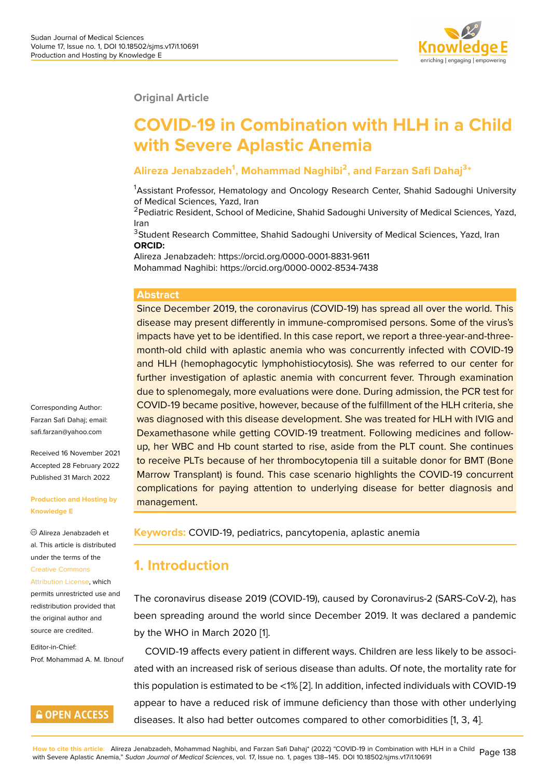#### **Original Article**

# **COVID-19 in Combination with HLH in a Child with Severe Aplastic Anemia**

#### **Alireza Jenabzadeh<sup>1</sup> , Mohammad Naghibi<sup>2</sup> , and Farzan Safi Dahaj<sup>3</sup> \***

<sup>1</sup>Assistant Professor, Hematology and Oncology Research Center, Shahid Sadoughi University of Medical Sciences, Yazd, Iran

<sup>2</sup>Pediatric Resident, School of Medicine, Shahid Sadoughi University of Medical Sciences, Yazd, Iran

<sup>3</sup>Student Research Committee, Shahid Sadoughi University of Medical Sciences, Yazd, Iran **ORCID:**

Alireza Jenabzadeh: https://orcid.org/0000-0001-8831-9611 Mohammad Naghibi: https://orcid.org/0000-0002-8534-7438

#### **Abstract**

Since December 2019, the coronavirus (COVID-19) has spread all over the world. This disease may present differently in immune-compromised persons. Some of the virus's impacts have yet to be identified. In this case report, we report a three-year-and-threemonth-old child with aplastic anemia who was concurrently infected with COVID-19 and HLH (hemophagocytic lymphohistiocytosis). She was referred to our center for further investigation of aplastic anemia with concurrent fever. Through examination due to splenomegaly, more evaluations were done. During admission, the PCR test for COVID-19 became positive, however, because of the fulfillment of the HLH criteria, she was diagnosed with this disease development. She was treated for HLH with IVIG and Dexamethasone while getting COVID-19 treatment. Following medicines and followup, her WBC and Hb count started to rise, aside from the PLT count. She continues to receive PLTs because of her thrombocytopenia till a suitable donor for BMT (Bone Marrow Transplant) is found. This case scenario highlights the COVID-19 concurrent complications for paying attention to underlying disease for better diagnosis and management.

**Keywords:** COVID-19, pediatrics, pancytopenia, aplastic anemia

#### **1. Introduction**

The coronavirus disease 2019 (COVID-19), caused by Coronavirus-2 (SARS-CoV-2), has been spreading around the world since December 2019. It was declared a pandemic by the WHO in March 2020 [1].

COVID-19 affects every patient in different ways. Children are less likely to be associated with an increased risk of serious disease than adults. Of note, the mortality rate for this population is estimated t[o](#page-6-0) be <1% [2]. In addition, infected individuals with COVID-19 appear to have a reduced risk of immune deficiency than those with other underlying diseases. It also had better outcomes compared to other comorbidities [1, 3, 4].

Corresponding Author: Farzan Safi Dahaj; email: safi.farzan@yahoo.com

Received 16 November 2021 Accepted 28 February 2022 [Published 31 March 20](mailto:safi.farzan@yahoo.com)22

**Production and Hosting by Knowledge E**

Alireza Jenabzadeh et al. This article is distributed under the terms of the Creative Commons Attribution License, which permits unrestricted use and

redistribution provided that [the original author](https://creativecommons.org/licenses/by/4.0/) and [source are credited](https://creativecommons.org/licenses/by/4.0/).

Editor-in-Chief: Prof. Mohammad A. M. Ibnouf

#### **GOPEN ACCESS**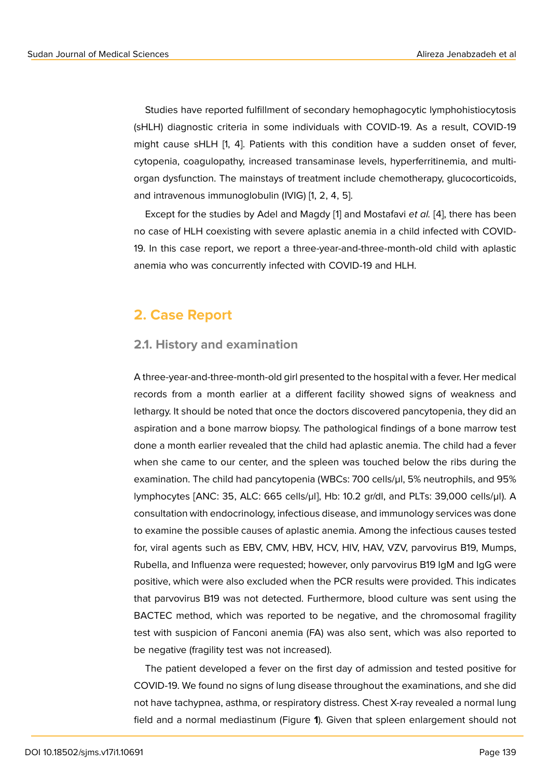Studies have reported fulfillment of secondary hemophagocytic lymphohistiocytosis (sHLH) diagnostic criteria in some individuals with COVID-19. As a result, COVID-19 might cause sHLH [1, 4]. Patients with this condition have a sudden onset of fever, cytopenia, coagulopathy, increased transaminase levels, hyperferritinemia, and multiorgan dysfunction. The mainstays of treatment include chemotherapy, glucocorticoids, and intravenous immunoglobulin (IVIG) [1, 2, 4, 5].

Except for the studies by Adel and Magdy [1] and Mostafavi *et al.* [4], there has been no case of HLH coexisting with severe aplastic anemia in a child infected with COVID-19. In this case report, we report a three-year-and-three-month-old child with aplastic anemia who was concurrently infected with C[O](#page-6-0)VID-19 and HLH.

### **2. Case Report**

#### **2.1. History and examination**

A three-year-and-three-month-old girl presented to the hospital with a fever. Her medical records from a month earlier at a different facility showed signs of weakness and lethargy. It should be noted that once the doctors discovered pancytopenia, they did an aspiration and a bone marrow biopsy. The pathological findings of a bone marrow test done a month earlier revealed that the child had aplastic anemia. The child had a fever when she came to our center, and the spleen was touched below the ribs during the examination. The child had pancytopenia (WBCs: 700 cells/µl, 5% neutrophils, and 95% lymphocytes [ANC: 35, ALC: 665 cells/µl], Hb: 10.2 gr/dl, and PLTs: 39,000 cells/µl). A consultation with endocrinology, infectious disease, and immunology services was done to examine the possible causes of aplastic anemia. Among the infectious causes tested for, viral agents such as EBV, CMV, HBV, HCV, HIV, HAV, VZV, parvovirus B19, Mumps, Rubella, and Influenza were requested; however, only parvovirus B19 IgM and IgG were positive, which were also excluded when the PCR results were provided. This indicates that parvovirus B19 was not detected. Furthermore, blood culture was sent using the BACTEC method, which was reported to be negative, and the chromosomal fragility test with suspicion of Fanconi anemia (FA) was also sent, which was also reported to be negative (fragility test was not increased).

The patient developed a fever on the first day of admission and tested positive for COVID-19. We found no signs of lung disease throughout the examinations, and she did not have tachypnea, asthma, or respiratory distress. Chest X-ray revealed a normal lung field and a normal mediastinum (Figure **1**). Given that spleen enlargement should not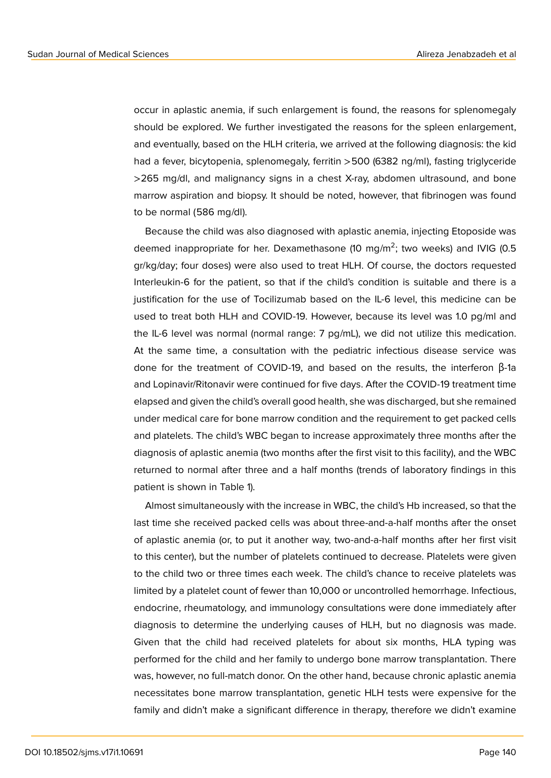occur in aplastic anemia, if such enlargement is found, the reasons for splenomegaly should be explored. We further investigated the reasons for the spleen enlargement, and eventually, based on the HLH criteria, we arrived at the following diagnosis: the kid had a fever, bicytopenia, splenomegaly, ferritin >500 (6382 ng/ml), fasting triglyceride >265 mg/dl, and malignancy signs in a chest X-ray, abdomen ultrasound, and bone marrow aspiration and biopsy. It should be noted, however, that fibrinogen was found to be normal (586 mg/dl).

Because the child was also diagnosed with aplastic anemia, injecting Etoposide was deemed inappropriate for her. Dexamethasone (10 mg/m<sup>2</sup>; two weeks) and IVIG (0.5 gr/kg/day; four doses) were also used to treat HLH. Of course, the doctors requested Interleukin-6 for the patient, so that if the child's condition is suitable and there is a justification for the use of Tocilizumab based on the IL-6 level, this medicine can be used to treat both HLH and COVID-19. However, because its level was 1.0 pg/ml and the IL-6 level was normal (normal range: 7 pg/mL), we did not utilize this medication. At the same time, a consultation with the pediatric infectious disease service was done for the treatment of COVID-19, and based on the results, the interferon β-1a and Lopinavir/Ritonavir were continued for five days. After the COVID-19 treatment time elapsed and given the child's overall good health, she was discharged, but she remained under medical care for bone marrow condition and the requirement to get packed cells and platelets. The child's WBC began to increase approximately three months after the diagnosis of aplastic anemia (two months after the first visit to this facility), and the WBC returned to normal after three and a half months (trends of laboratory findings in this patient is shown in Table 1).

Almost simultaneously with the increase in WBC, the child's Hb increased, so that the last time she received packed cells was about three-and-a-half months after the onset of aplastic anemia (or, to put it another way, two-and-a-half months after her first visit to this center), but the number of platelets continued to decrease. Platelets were given to the child two or three times each week. The child's chance to receive platelets was limited by a platelet count of fewer than 10,000 or uncontrolled hemorrhage. Infectious, endocrine, rheumatology, and immunology consultations were done immediately after diagnosis to determine the underlying causes of HLH, but no diagnosis was made. Given that the child had received platelets for about six months, HLA typing was performed for the child and her family to undergo bone marrow transplantation. There was, however, no full-match donor. On the other hand, because chronic aplastic anemia necessitates bone marrow transplantation, genetic HLH tests were expensive for the family and didn't make a significant difference in therapy, therefore we didn't examine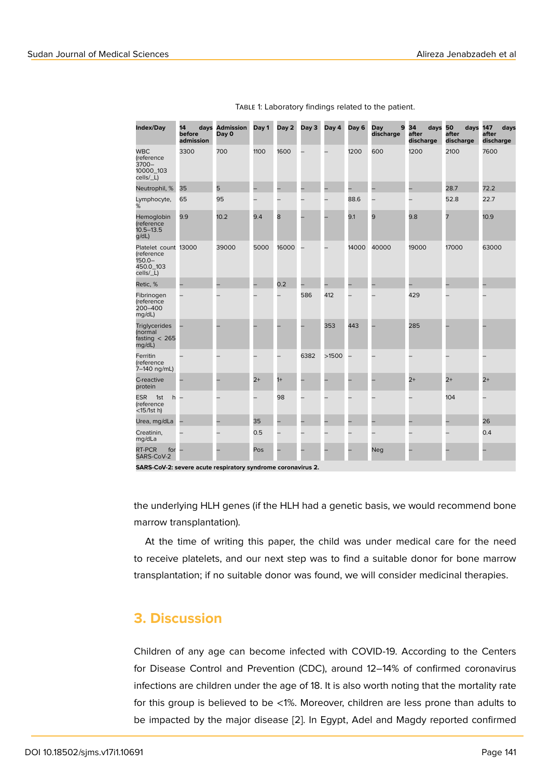| Index/Day                                                                 | 14<br>before<br>admission | days Admission<br>Day 0 | Day 1 | Day 2 | Day 3 | Day 4 | Day 6 | Day<br>9<br>discharge | 34<br>days<br>after<br>discharge | 50<br>days<br>after<br>discharge | 147<br>days<br>after<br>discharge |
|---------------------------------------------------------------------------|---------------------------|-------------------------|-------|-------|-------|-------|-------|-----------------------|----------------------------------|----------------------------------|-----------------------------------|
| <b>WBC</b><br>(reference<br>$3700 -$<br>10000_103<br>cells/_L)            | 3300                      | 700                     | 1100  | 1600  |       |       | 1200  | 600                   | 1200                             | 2100                             | 7600                              |
| Neutrophil, %                                                             | 35                        | 5                       | -     |       |       | -     |       |                       | -                                | 28.7                             | 72.2                              |
| Lymphocyte,<br>%                                                          | 65                        | 95                      |       |       |       | —     | 88.6  |                       |                                  | 52.8                             | 22.7                              |
| Hemoglobin<br>(reference<br>$10.5 - 13.5$<br>$g/dL$ )                     | 9.9                       | 10.2                    | 9.4   | 8     |       |       | 9.1   | 9                     | 9.8                              | 7                                | 10.9                              |
| Platelet count 13000<br>(reference<br>$150.0 -$<br>450.0_103<br>cells/_L) |                           | 39000                   | 5000  | 16000 |       |       | 14000 | 40000                 | 19000                            | 17000                            | 63000                             |
| Retic, %                                                                  |                           |                         |       | 0.2   |       |       |       |                       |                                  |                                  |                                   |
| Fibrinogen<br>(reference<br>200-400<br>mg/dL)                             |                           |                         |       |       | 586   | 412   |       |                       | 429                              |                                  |                                   |
| <b>Triglycerides</b><br>(normal<br>fasting $< 265$<br>mq/dL)              |                           |                         |       |       |       | 353   | 443   |                       | 285                              |                                  |                                   |
| Ferritin<br>(reference<br>7–140 ng/mL)                                    |                           |                         |       |       | 6382  | >1500 |       |                       |                                  |                                  |                                   |
| C-reactive<br>protein                                                     |                           |                         | $2+$  | $1+$  |       |       |       |                       | $2+$                             | $2+$                             | $2+$                              |
| <b>ESR</b><br>1st<br>h<br>(reference<br>$<$ 15/1st h)                     |                           |                         |       | 98    |       |       |       |                       |                                  | 104                              |                                   |
| Urea, mg/dLa                                                              |                           |                         | 35    |       |       |       |       |                       |                                  |                                  | 26                                |
| Creatinin,<br>mg/dLa                                                      |                           |                         | 0.5   |       |       |       |       |                       |                                  |                                  | 0.4                               |
| RT-PCR<br>for<br>SARS-CoV-2                                               |                           |                         | Pos   |       |       |       |       | <b>Neg</b>            |                                  |                                  |                                   |
|                                                                           |                           |                         |       |       |       |       |       |                       |                                  |                                  |                                   |

TABLE 1: Laboratory findings related to the patient.

**SARS-CoV-2: severe acute respiratory syndrome coronavirus 2.**

the underlying HLH genes (if the HLH had a genetic basis, we would recommend bone marrow transplantation).

At the time of writing this paper, the child was under medical care for the need to receive platelets, and our next step was to find a suitable donor for bone marrow transplantation; if no suitable donor was found, we will consider medicinal therapies.

#### **3. Discussion**

Children of any age can become infected with COVID-19. According to the Centers for Disease Control and Prevention (CDC), around 12–14% of confirmed coronavirus infections are children under the age of 18. It is also worth noting that the mortality rate for this group is believed to be <1%. Moreover, children are less prone than adults to be impacted by the major disease [2]. In Egypt, Adel and Magdy reported confirmed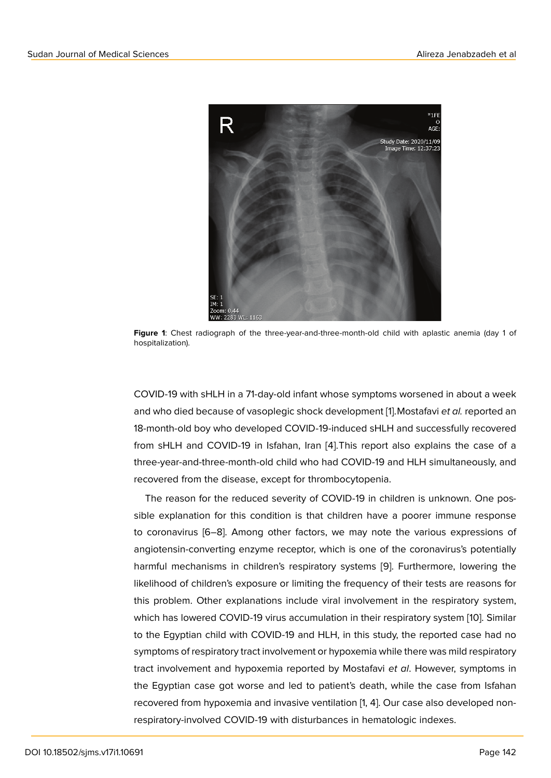

**Figure 1**: Chest radiograph of the three-year-and-three-month-old child with aplastic anemia (day 1 of hospitalization).

COVID-19 with sHLH in a 71-day-old infant whose symptoms worsened in about a week and who died because of vasoplegic shock development [1].Mostafavi *et al.* reported an 18-month-old boy who developed COVID-19-induced sHLH and successfully recovered from sHLH and COVID-19 in Isfahan, Iran [4].This report also explains the case of a three-year-and-three-month-old child who had COVID-19 [a](#page-6-0)nd HLH simultaneously, and recovered from the disease, except for thrombocytopenia.

The reason for the reduced severity of [CO](#page-6-1)VID-19 in children is unknown. One possible explanation for this condition is that children have a poorer immune response to coronavirus [6–8]. Among other factors, we may note the various expressions of angiotensin-converting enzyme receptor, which is one of the coronavirus's potentially harmful mechanisms in children's respiratory systems [9]. Furthermore, lowering the likelihood of children's exposure or limiting the frequency of their tests are reasons for this problem. Other explanations include viral involvement in the respiratory system, which has lowered COVID-19 virus accumulation in their [re](#page-7-0)spiratory system [10]. Similar to the Egyptian child with COVID-19 and HLH, in this study, the reported case had no symptoms of respiratory tract involvement or hypoxemia while there was mild respiratory tract involvement and hypoxemia reported by Mostafavi *et al*. However, sy[mp](#page-7-1)toms in the Egyptian case got worse and led to patient's death, while the case from Isfahan recovered from hypoxemia and invasive ventilation [1, 4]. Our case also developed nonrespiratory-involved COVID-19 with disturbances in hematologic indexes.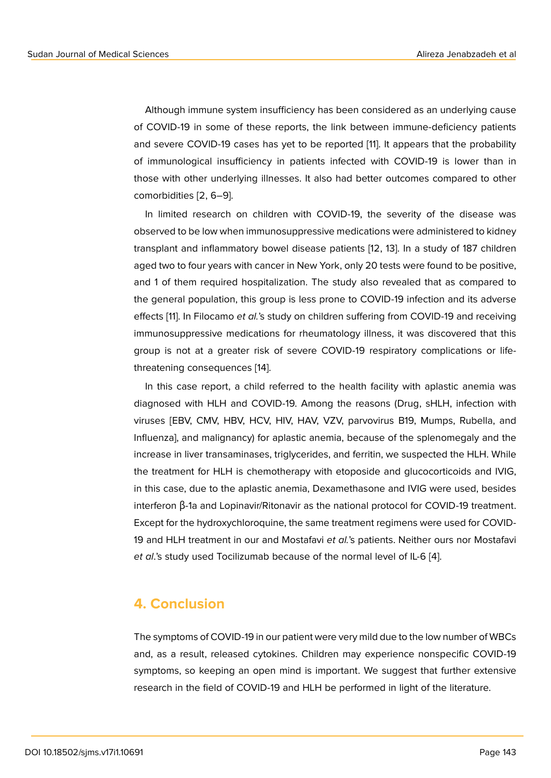Although immune system insufficiency has been considered as an underlying cause of COVID-19 in some of these reports, the link between immune-deficiency patients and severe COVID-19 cases has yet to be reported [11]. It appears that the probability of immunological insufficiency in patients infected with COVID-19 is lower than in those with other underlying illnesses. It also had better outcomes compared to other comorbidities [2, 6–9].

In limited research on children with COVID-19, the severity of the disease was observed to be low when immunosuppressive medications were administered to kidney transplant and inflammatory bowel disease patients [12, 13]. In a study of 187 children aged two to four years with cancer in New York, only 20 tests were found to be positive, and 1 of them required hospitalization. The study also revealed that as compared to the general population, this group is less prone to COVID-19 infection and its adverse effects [11]. In Filocamo *et al.*'s study on children suffering from COVID-19 and receiving immunosuppressive medications for rheumatology illness, it was discovered that this group is not at a greater risk of severe COVID-19 respiratory complications or lifethreate[nin](#page-7-2)g consequences [14].

In this case report, a child referred to the health facility with aplastic anemia was diagnosed with HLH and COVID-19. Among the reasons (Drug, sHLH, infection with viruses [EBV, CMV, HBV, H[CV](#page-7-3), HIV, HAV, VZV, parvovirus B19, Mumps, Rubella, and Influenza], and malignancy) for aplastic anemia, because of the splenomegaly and the increase in liver transaminases, triglycerides, and ferritin, we suspected the HLH. While the treatment for HLH is chemotherapy with etoposide and glucocorticoids and IVIG, in this case, due to the aplastic anemia, Dexamethasone and IVIG were used, besides interferon β-1a and Lopinavir/Ritonavir as the national protocol for COVID-19 treatment. Except for the hydroxychloroquine, the same treatment regimens were used for COVID-19 and HLH treatment in our and Mostafavi *et al.*'s patients. Neither ours nor Mostafavi *et al*.'s study used Tocilizumab because of the normal level of IL-6 [4].

## **4. Conclusion**

The symptoms of COVID-19 in our patient were very mild due to the low number of WBCs and, as a result, released cytokines. Children may experience nonspecific COVID-19 symptoms, so keeping an open mind is important. We suggest that further extensive research in the field of COVID-19 and HLH be performed in light of the literature.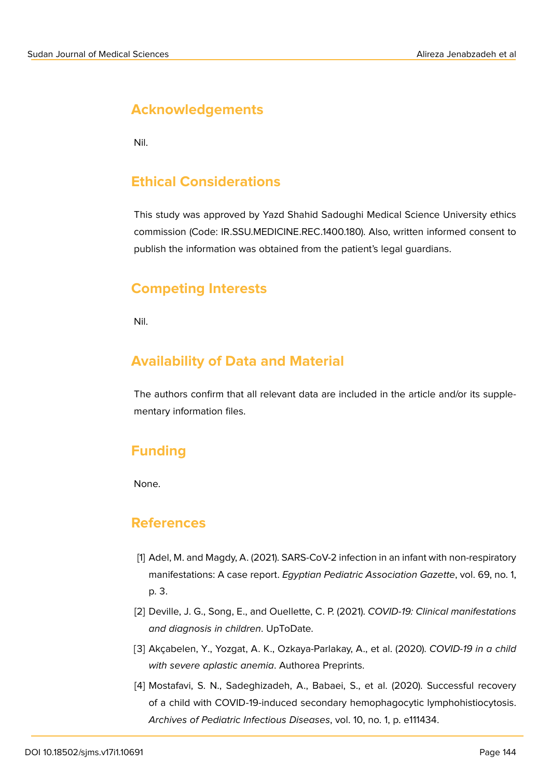# **Acknowledgements**

Nil.

## **Ethical Considerations**

This study was approved by Yazd Shahid Sadoughi Medical Science University ethics commission (Code: IR.SSU.MEDICINE.REC.1400.180). Also, written informed consent to publish the information was obtained from the patient's legal guardians.

# **Competing Interests**

Nil.

# **Availability of Data and Material**

The authors confirm that all relevant data are included in the article and/or its supplementary information files.

# **Funding**

None.

#### **References**

- <span id="page-6-0"></span>[1] Adel, M. and Magdy, A. (2021). SARS-CoV-2 infection in an infant with non-respiratory manifestations: A case report. *Egyptian Pediatric Association Gazette*, vol. 69, no. 1, p. 3.
- [2] Deville, J. G., Song, E., and Ouellette, C. P. (2021). *COVID-19: Clinical manifestations and diagnosis in children*. UpToDate.
- [3] Akçabelen, Y., Yozgat, A. K., Ozkaya-Parlakay, A., et al. (2020). *COVID-19 in a child with severe aplastic anemia*. Authorea Preprints.
- <span id="page-6-1"></span>[4] Mostafavi, S. N., Sadeghizadeh, A., Babaei, S., et al. (2020). Successful recovery of a child with COVID-19-induced secondary hemophagocytic lymphohistiocytosis. *Archives of Pediatric Infectious Diseases*, vol. 10, no. 1, p. e111434.